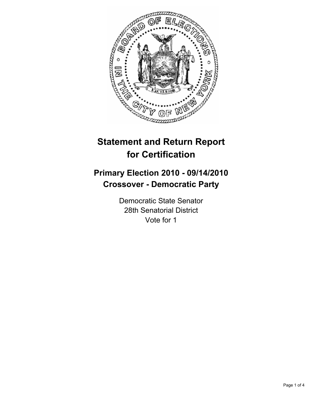

# **Statement and Return Report for Certification**

## **Primary Election 2010 - 09/14/2010 Crossover - Democratic Party**

Democratic State Senator 28th Senatorial District Vote for 1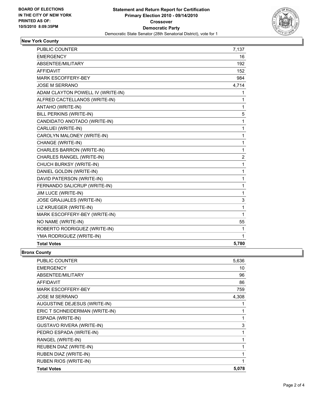

#### **New York County**

| <b>PUBLIC COUNTER</b>             | 7,137       |
|-----------------------------------|-------------|
| <b>EMERGENCY</b>                  | 16          |
| <b>ABSENTEE/MILITARY</b>          | 192         |
| <b>AFFIDAVIT</b>                  | 152         |
| <b>MARK ESCOFFERY-BEY</b>         | 984         |
| <b>JOSE M SERRANO</b>             | 4,714       |
| ADAM CLAYTON POWELL IV (WRITE-IN) | 1           |
| ALFRED CACTELLANOS (WRITE-IN)     | 1           |
| ANTAHO (WRITE-IN)                 | 1           |
| BILL PERKINS (WRITE-IN)           | 5           |
| CANDIDATO ANOTADO (WRITE-IN)      | $\mathbf 1$ |
| CARLUEI (WRITE-IN)                | 1           |
| CAROLYN MALONEY (WRITE-IN)        | 1           |
| CHANGE (WRITE-IN)                 | 1           |
| CHARLES BARRON (WRITE-IN)         | 1           |
| CHARLES RANGEL (WRITE-IN)         | 2           |
| CHUCH BURKSY (WRITE-IN)           | 1           |
| DANIEL GOLDIN (WRITE-IN)          | 1           |
| DAVID PATERSON (WRITE-IN)         | 1           |
| FERNANDO SALICRUP (WRITE-IN)      | 1           |
| JIM LUCE (WRITE-IN)               | 1           |
| JOSE GRAJJALES (WRITE-IN)         | 3           |
| LIZ KRUEGER (WRITE-IN)            | 1           |
| MARK ESCOFFERY-BEY (WRITE-IN)     | $\mathbf 1$ |
| NO NAME (WRITE-IN)                | 55          |
| ROBERTO RODRIGUEZ (WRITE-IN)      | 1           |
| YMA RODRIGUEZ (WRITE-IN)          | 1           |
| <b>Total Votes</b>                | 5,780       |

#### **Bronx County**

| <b>PUBLIC COUNTER</b>            | 5,636 |
|----------------------------------|-------|
| <b>EMERGENCY</b>                 | 10    |
| ABSENTEE/MILITARY                | 96    |
| <b>AFFIDAVIT</b>                 | 86    |
| <b>MARK ESCOFFERY-BEY</b>        | 759   |
| <b>JOSE M SERRANO</b>            | 4,308 |
| AUGUSTINE DEJESUS (WRITE-IN)     | 1     |
| ERIC T SCHNEIDERMAN (WRITE-IN)   | 1     |
| ESPADA (WRITE-IN)                | 1     |
| <b>GUSTAVO RIVERA (WRITE-IN)</b> | 3     |
| PEDRO ESPADA (WRITE-IN)          | 1     |
| RANGEL (WRITE-IN)                | 1     |
| REUBEN DIAZ (WRITE-IN)           | 1     |
| RUBEN DIAZ (WRITE-IN)            | 1     |
| RUBEN RIOS (WRITE-IN)            | 1     |
| <b>Total Votes</b>               | 5,078 |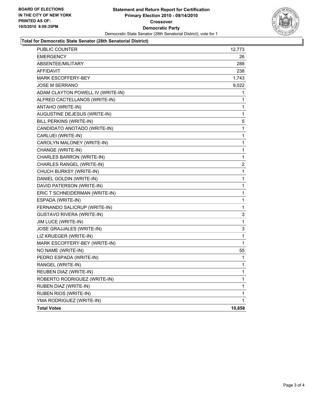

#### **Total for Democratic State Senator (28th Senatorial District)**

| PUBLIC COUNTER                    | 12,773 |
|-----------------------------------|--------|
| <b>EMERGENCY</b>                  | 26     |
| <b>ABSENTEE/MILITARY</b>          | 288    |
| AFFIDAVIT                         | 238    |
| MARK ESCOFFERY-BEY                | 1,743  |
| JOSE M SERRANO                    | 9,022  |
| ADAM CLAYTON POWELL IV (WRITE-IN) | 1      |
| ALFRED CACTELLANOS (WRITE-IN)     | 1      |
| ANTAHO (WRITE-IN)                 | 1      |
| AUGUSTINE DEJESUS (WRITE-IN)      | 1      |
| BILL PERKINS (WRITE-IN)           | 5      |
| CANDIDATO ANOTADO (WRITE-IN)      | 1      |
| CARLUEI (WRITE-IN)                | 1      |
| CAROLYN MALONEY (WRITE-IN)        | 1      |
| CHANGE (WRITE-IN)                 | 1      |
| CHARLES BARRON (WRITE-IN)         | 1      |
| CHARLES RANGEL (WRITE-IN)         | 2      |
| CHUCH BURKSY (WRITE-IN)           | 1      |
| DANIEL GOLDIN (WRITE-IN)          | 1      |
| DAVID PATERSON (WRITE-IN)         | 1      |
| ERIC T SCHNEIDERMAN (WRITE-IN)    | 1      |
| ESPADA (WRITE-IN)                 | 1      |
| FERNANDO SALICRUP (WRITE-IN)      | 1      |
| GUSTAVO RIVERA (WRITE-IN)         | 3      |
| <b>JIM LUCE (WRITE-IN)</b>        | 1      |
| JOSE GRAJJALES (WRITE-IN)         | 3      |
| LIZ KRUEGER (WRITE-IN)            | 1      |
| MARK ESCOFFERY-BEY (WRITE-IN)     | 1      |
| NO NAME (WRITE-IN)                | 55     |
| PEDRO ESPADA (WRITE-IN)           | 1      |
| RANGEL (WRITE-IN)                 | 1      |
| REUBEN DIAZ (WRITE-IN)            | 1      |
| ROBERTO RODRIGUEZ (WRITE-IN)      | 1      |
| RUBEN DIAZ (WRITE-IN)             | 1      |
| RUBEN RIOS (WRITE-IN)             | 1      |
| YMA RODRIGUEZ (WRITE-IN)          | 1      |
| <b>Total Votes</b>                | 10,858 |